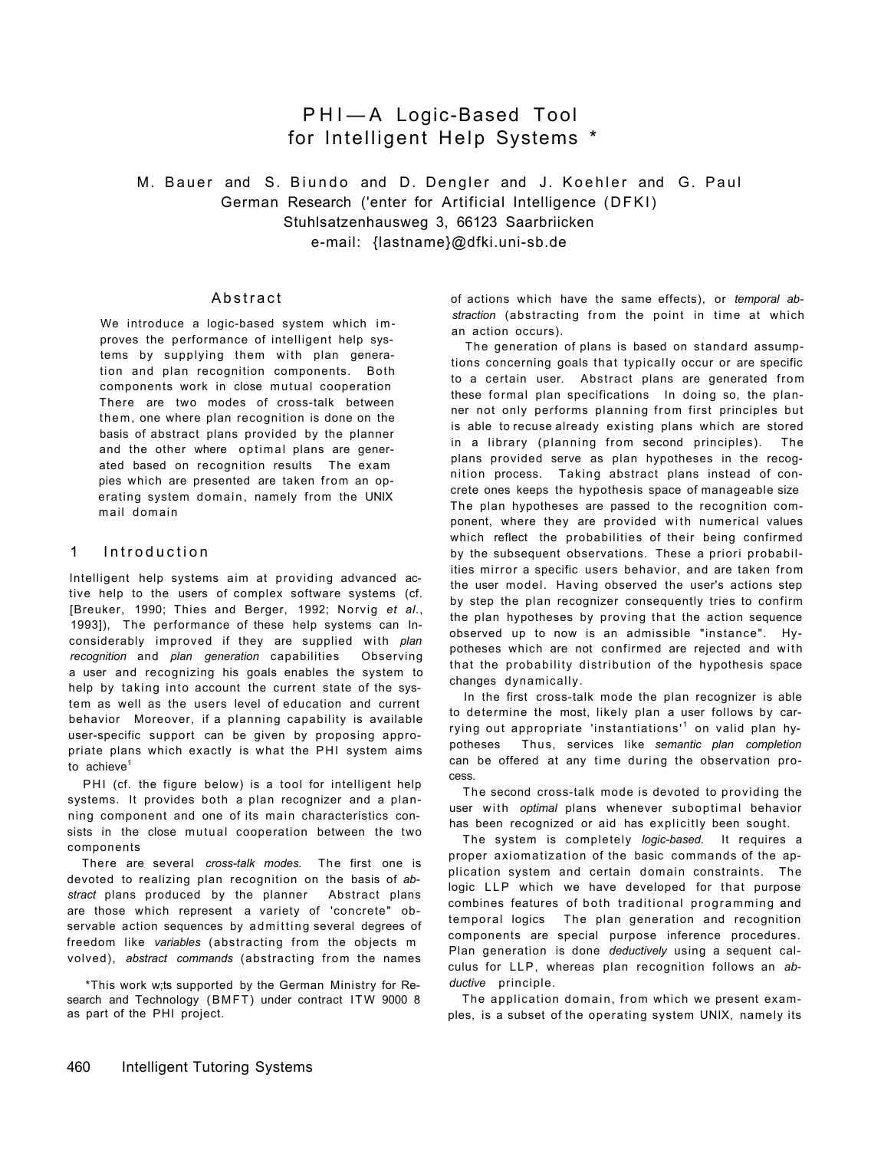# PHI— A Logic-Based Tool for Intelligent Help Systems \*

M. Bauer and S. Biundo and D. Dengler and J. Koehler and G. Paul German Research ('enter for Artificial Intelligence (DFKI) Stuhlsatzenhausweg 3, 66123 Saarbriicken e-mail: {lastname}@dfki.uni-sb.de

## **Abstract**

We introduce a logic-based system which improves the performance of intelligent help systems by supplying them with plan generation and plan recognition components. Both components work in close mutual cooperation There are two modes of cross-talk between them, one where plan recognition is done on the basis of abstract plans provided by the planner and the other where optimal plans are generated based on recognition results The exam pies which are presented are taken from an operating system domain, namely from the UNIX mail domain

### 1 Introduction

Intelligent help systems aim at providing advanced active help to the users of complex software systems (cf. [Breuker, 1990; Thies and Berger, 1992; Norvig *et al*., 1993]), The performance of these help systems can Inconsiderably improved if they are supplied with *plan recognition* and *plan generation* capabilities Observing a user and recognizing his goals enables the system to help by taking into account the current state of the system as well as the users level of education and current behavior Moreover, if a planning capability is available user-specific support can be given by proposing appropriate plans which exactly is what the PHI system aims to  $achieve<sup>1</sup>$ 

PHI (cf. the figure below) is a tool for intelligent help systems. It provides both a plan recognizer and a planning component and one of its main characteristics consists in the close mutual cooperation between the two components

There are several *cross-talk modes.* The first one is devoted to realizing plan recognition on the basis of *abstract* plans produced by the planner Abstract plans are those which represent a variety of 'concrete" observable action sequences by admitting several degrees of freedom like *variables* (abstracting from the objects m volved), *abstract commands* (abstracting from the names

\*This work w;ts supported by the German Ministry for Research and Technology (BMFT) under contract ITW 9000 8 as part of the PHI project.

of actions which have the same effects), or *temporal abstraction* (abstracting from the point in time at which an action occurs).

The generation of plans is based on standard assumptions concerning goals that typically occur or are specific to a certain user. Abstract plans are generated from these formal plan specifications In doing so, the planner not only performs planning from first principles but is able to recuse already existing plans which are stored in a library (planning from second principles). The plans provided serve as plan hypotheses in the recognition process. Taking abstract plans instead of concrete ones keeps the hypothesis space of manageable size The plan hypotheses are passed to the recognition component, where they are provided with numerical values which reflect the probabilities of their being confirmed by the subsequent observations. These a priori probabilities mirror a specific users behavior, and are taken from the user model. Having observed the user's actions step by step the plan recognizer consequently tries to confirm the plan hypotheses by proving that the action sequence observed up to now is an admissible "instance". Hypotheses which are not confirmed are rejected and with that the probability distribution of the hypothesis space changes dynamically.

In the first cross-talk mode the plan recognizer is able to determine the most, likely plan a user follows by carrying out appropriate 'instantiations'<sup>1</sup> on valid plan hypotheses Thus, services like *semantic plan completion*  can be offered at any time during the observation process.

The second cross-talk mode is devoted to providing the user with *optimal* plans whenever suboptimal behavior has been recognized or aid has explicitly been sought.

The system is completely *logic-based.* It requires a proper axiomatization of the basic commands of the application system and certain domain constraints. The logic LLP which we have developed for that purpose combines features of both traditional programming and temporal logics The plan generation and recognition components are special purpose inference procedures. Plan generation is done *deductively* using a sequent calculus for LLP, whereas plan recognition follows an *abductive* principle.

The application domain, from which we present examples, is a subset of the operating system UNIX, namely its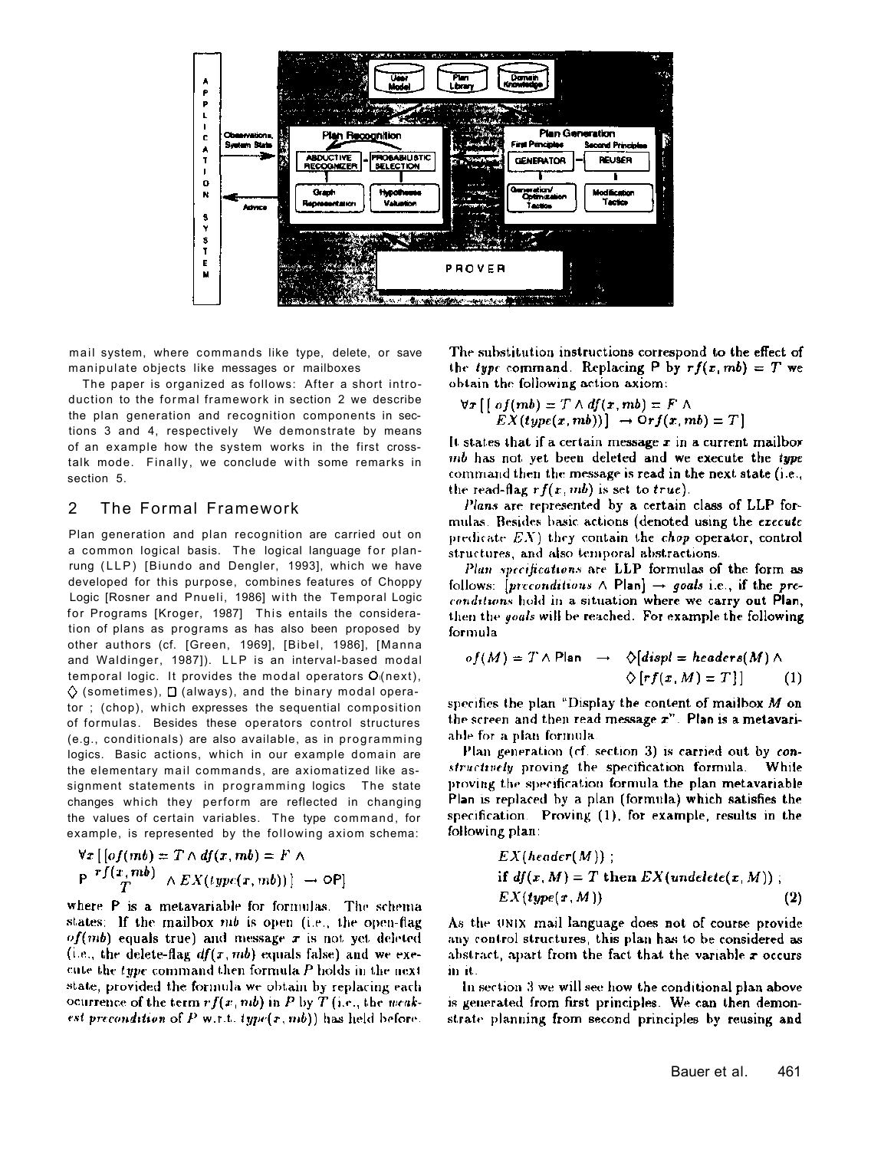

mail system, where commands like type, delete, or save manipulate objects like messages or mailboxes

The paper is organized as follows: After a short introduction to the formal framework in section 2 we describe the plan generation and recognition components in sections 3 and 4, respectively We demonstrate by means of an example how the system works in the first crosstalk mode. Finally, we conclude with some remarks in section 5.

## 2 The Formal Framework

Plan generation and plan recognition are carried out on a common logical basis. The logical language for planrung (LLP) [Biundo and Dengler, 1993], which we have developed for this purpose, combines features of Choppy Logic [Rosner and Pnueli, 1986] with the Temporal Logic for Programs [Kroger, 1987] This entails the consideration of plans as programs as has also been proposed by other authors (cf. [Green, 1969], [Bibel, 1986], [Manna and Waldinger, 1987]). LLP is an interval-based modal temporal logic. It provides the modal operators  $O$ <sup>(next)</sup>,  $\diamondsuit$  (sometimes),  $\square$  (always), and the binary modal operator ; (chop), which expresses the sequential composition of formulas. Besides these operators control structures (e.g., conditionals) are also available, as in programming logics. Basic actions, which in our example domain are the elementary mail commands, are axiomatized like assignment statements in programming logics The state changes which they perform are reflected in changing the values of certain variables. The type command, for example, is represented by the following axiom schema:

$$
\forall x \left[ \left[ of (mb) = T \wedge df(x, mb) = F \wedge \right] \right] \newline P \stackrel{r f(x, mb)}{T} \wedge EX(type(x, mb)) \rightarrow \text{OP}
$$

where P is a metavariable for formulas. The schema states: If the mailbox mb is open (i.e., the open-flag  $of (mb)$  equals true) and message x is not yet deleted (i.e., the delete-flag  $df(x, mb)$  equals false) and we execute the type command then formula P holds in the next state, provided the formula we obtain by replacing each ocurrence of the term  $rf(x, mb)$  in P by T (i.e., the weakest precondition of P w.r.t.  $type(x, mb)$ ) has held before.

The substitution instructions correspond to the effect of the type command. Replacing P by  $rf(x, mb) = T$  we obtain the following action axiom:

$$
\forall x \left[ \left[ \text{ of }(mb) = T \land \text{df}(x, mb) = F \land \right] \right. \\ EX(type(x, mb)) \left[ \rightarrow \text{Orf}(x, mb) = T \right]
$$

It states that if a certain message x in a current mailbor mb has not yet been deleted and we execute the type command then the message is read in the next state (i.e., the read-flag  $rf(x, mb)$  is set to true).

Plans are represented by a certain class of LLP formulas. Besides basic actions (denoted using the execute predicate  $EX$ ) they contain the chop operator, control structures, and also temporal abstractions.

Plan specifications are LLP formulas of the form as follows: [preconditions  $\land$  Plan]  $\rightarrow$  goals i.e., if the preconditions hold in a situation where we carry out Plan, then the *youls* will be reached. For example the following formula

$$
of(M) = T \wedge Plan \rightarrow \Diamond[displ = headers(M) \wedge
$$
  

$$
\Diamond[rf(x, M) = T]] \qquad (1)
$$

specifies the plan "Display the content of mailbox  $M$  on the screen and then read message x". Plan is a metavariable for a plan formula.

Plan generation (cf. section 3) is carried out by constructively proving the specification formula. While proving the specification formula the plan metavariable Plan is replaced by a plan (formula) which satisfies the specification Proving (1), for example, results in the following plan:

$$
EX(header(M));
$$
  
if  $df(x, M) = T$  then  $EX(undelete(x, M));$   

$$
EX(type(x, M))
$$
 (2)

As the UNIX mail language does not of course provide any control structures, this plan has to be considered as abstract, apart from the fact that the variable  $\tau$  occurs in it.

In section 3 we will see how the conditional plan above is generated from first principles. We can then demonstrate planning from second principles by reusing and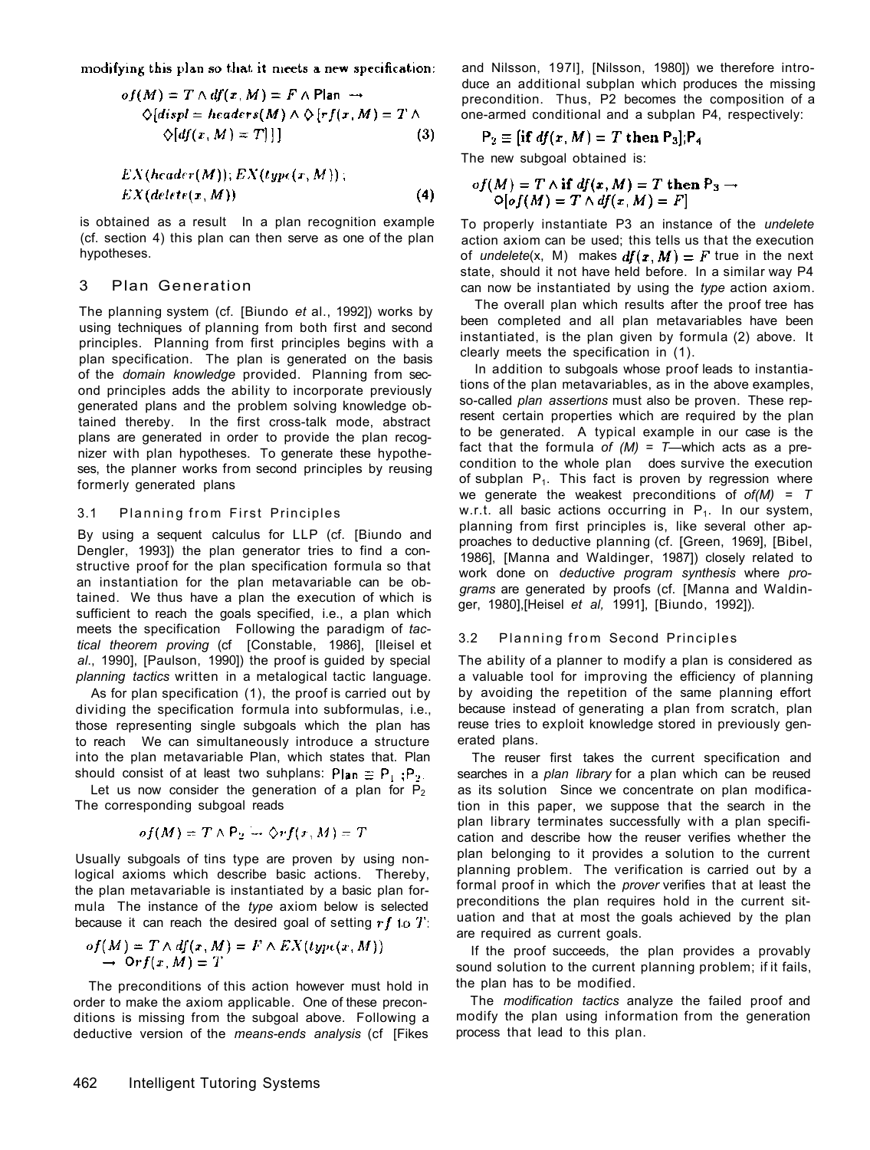modifying this plan so that it meets a new specification:

$$
of(M) = T \wedge df(x, M) = F \wedge Plan \longrightarrow
$$
  
 
$$
\Diamond [disp] = headers(M) \wedge \Diamond [rf(x, M) = T] \wedge
$$
  
 
$$
\Diamond [df(x, M) = T]] \qquad (3)
$$

$$
EX(header(M)); EX(type(x, M));
$$
  

$$
EX(delete(x, M))
$$
 (4)

is obtained as a result In a plan recognition example (cf. section 4) this plan can then serve as one of the plan hypotheses.

## 3 Plan Generation

The planning system (cf. [Biundo *et* al., 1992]) works by using techniques of planning from both first and second principles. Planning from first principles begins with a plan specification. The plan is generated on the basis of the *domain knowledge* provided. Planning from second principles adds the ability to incorporate previously generated plans and the problem solving knowledge obtained thereby. In the first cross-talk mode, abstract plans are generated in order to provide the plan recognizer with plan hypotheses. To generate these hypotheses, the planner works from second principles by reusing formerly generated plans

#### 3.1 Planning from First Principles

By using a sequent calculus for LLP (cf. [Biundo and Dengler, 1993]) the plan generator tries to find a constructive proof for the plan specification formula so that an instantiation for the plan metavariable can be obtained. We thus have a plan the execution of which is sufficient to reach the goals specified, *i.e.*, a plan which meets the specification Following the paradigm of *tactical theorem proving* (cf [Constable, 1986], [lleisel et *al*., 1990], [Paulson, 1990]) the proof is guided by special *planning tactics* written in a metalogical tactic language.

As for plan specification (1), the proof is carried out by dividing the specification formula into subformulas, i.e., those representing single subgoals which the plan has to reach We can simultaneously introduce a structure into the plan metavariable Plan, which states that. Plan should consist of at least two suhplans: Plan  $\equiv P_1$ ; P<sub>2</sub>.

Let us now consider the generation of a plan for  $P_2$ The corresponding subgoal reads

$$
of(M) = T \wedge P_2 = \Diamond r f(x, M) = T
$$

Usually subgoals of tins type are proven by using nonlogical axioms which describe basic actions. Thereby, the plan metavariable is instantiated by a basic plan formula The instance of the *type* axiom below is selected because it can reach the desired goal of setting  $rf$  to  $T$ :

$$
of(M) = T \wedge df(x, M) = F \wedge EX(typc(x, M))
$$
  
\n
$$
\rightarrow \text{Or} f(x, M) = T
$$

The preconditions of this action however must hold in order to make the axiom applicable. One of these preconditions is missing from the subgoal above. Following a deductive version of the *means-ends analysis* (cf [Fikes and Nilsson, 197l], [Nilsson, 1980]) we therefore introduce an additional subplan which produces the missing precondition. Thus, P2 becomes the composition of a one-armed conditional and a subplan P4, respectively:

$$
P_2 \equiv [\text{if } df(x, M) = T \text{ then } P_3]; P_4
$$

The new subgoal obtained is:

$$
of(M) = T \wedge \textbf{if } df(x, M) = T \textbf{ then } P_3 \rightarrow
$$
  
 
$$
O[of(M) = T \wedge df(x, M) = F]
$$

To properly instantiate P3 an instance of the *undelete*  action axiom can be used; this tells us that the execution of *undelete*(x, M) makes  $df(x, M) = F$  true in the next state, should it not have held before. In a similar way P4 can now be instantiated by using the *type* action axiom.

The overall plan which results after the proof tree has been completed and all plan metavariables have been instantiated, is the plan given by formula (2) above. It clearly meets the specification in (1).

In addition to subgoals whose proof leads to instantiations of the plan metavariables, as in the above examples, so-called *plan assertions* must also be proven. These represent certain properties which are required by the plan to be generated. A typical example in our case is the fact that the formula *of (M)* = *T*—which acts as a precondition to the whole plan does survive the execution of subplan  $P_1$ . This fact is proven by regression where we generate the weakest preconditions of *of(M)* = *T*  w.r.t. all basic actions occurring in  $P_1$ . In our system, planning from first principles is, like several other approaches to deductive planning (cf. [Green, 1969], [Bibel, 1986], [Manna and Waldinger, 1987]) closely related to work done on *deductive program synthesis* where *programs* are generated by proofs (cf. [Manna and Waldinger, 1980],[Heisel *et al,* 1991], [Biundo, 1992]).

#### 3.2 Planning from Second Principles

The ability of a planner to modify a plan is considered as a valuable tool for improving the efficiency of planning by avoiding the repetition of the same planning effort because instead of generating a plan from scratch, plan reuse tries to exploit knowledge stored in previously generated plans.

The reuser first takes the current specification and searches in a *plan library* for a plan which can be reused as its solution Since we concentrate on plan modification in this paper, we suppose that the search in the plan library terminates successfully with a plan specification and describe how the reuser verifies whether the plan belonging to it provides a solution to the current planning problem. The verification is carried out by a formal proof in which the *prover* verifies that at least the preconditions the plan requires hold in the current situation and that at most the goals achieved by the plan are required as current goals.

If the proof succeeds, the plan provides a provably sound solution to the current planning problem; if it fails, the plan has to be modified.

The *modification tactics* analyze the failed proof and modify the plan using information from the generation process that lead to this plan.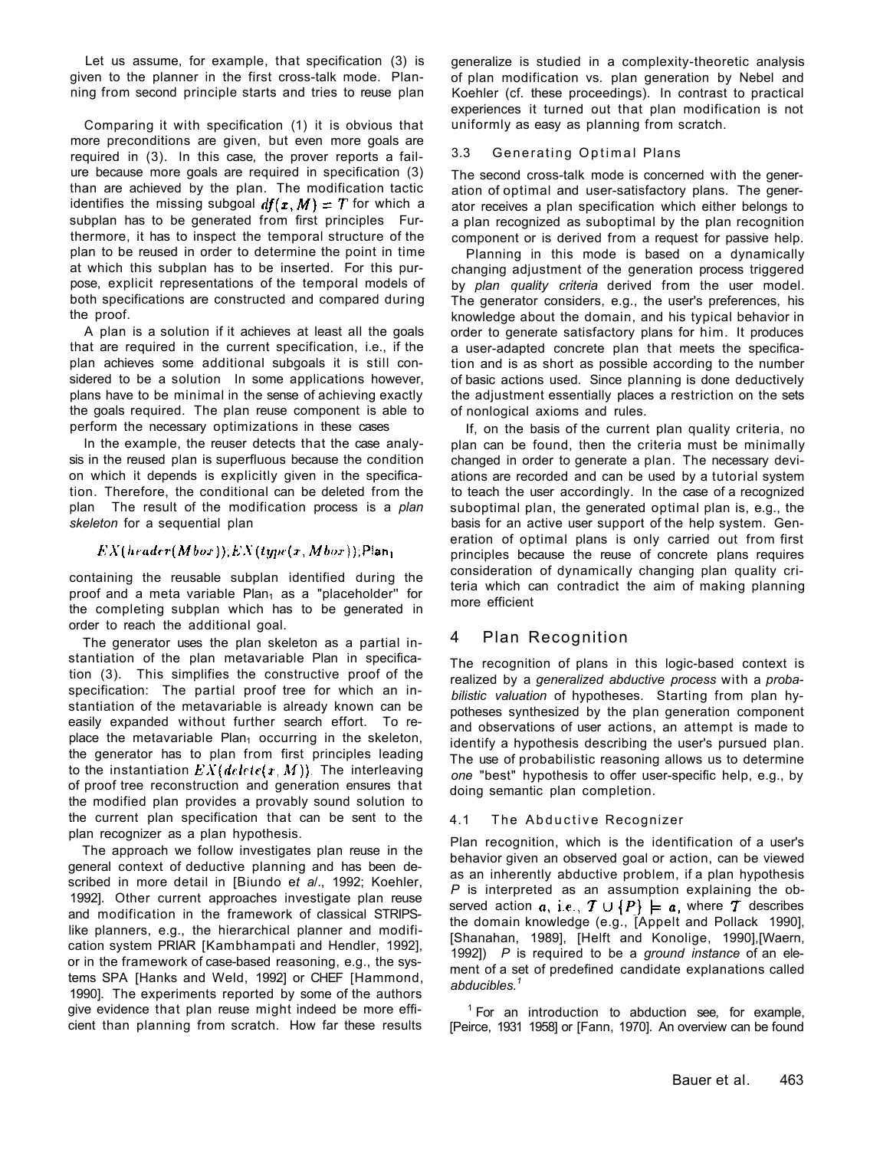Let us assume, for example, that specification (3) is given to the planner in the first cross-talk mode. Planning from second principle starts and tries to reuse plan

Comparing it with specification (1) it is obvious that more preconditions are given, but even more goals are required in (3). In this case, the prover reports a failure because more goals are required in specification (3) than are achieved by the plan. The modification tactic identifies the missing subgoal  $df(x, M) = T$  for which a subplan has to be generated from first principles Furthermore, it has to inspect the temporal structure of the plan to be reused in order to determine the point in time at which this subplan has to be inserted. For this purpose, explicit representations of the temporal models of both specifications are constructed and compared during the proof.

A plan is a solution if it achieves at least all the goals that are required in the current specification, i.e., if the plan achieves some additional subgoals it is still considered to be a solution In some applications however, plans have to be minimal in the sense of achieving exactly the goals required. The plan reuse component is able to perform the necessary optimizations in these cases

In the example, the reuser detects that the case analysis in the reused plan is superfluous because the condition on which it depends is explicitly given in the specification. Therefore, the conditional can be deleted from the plan The result of the modification process is a *plan skeleton* for a sequential plan

## $EX(hrader(Mbor))(EX(type(x, Mbor)))$ Pian<sub>1</sub>

containing the reusable subplan identified during the proof and a meta variable Plan<sub>1</sub> as a "placeholder" for the completing subplan which has to be generated in order to reach the additional goal.

The generator uses the plan skeleton as a partial instantiation of the plan metavariable Plan in specification (3). This simplifies the constructive proof of the specification: The partial proof tree for which an instantiation of the metavariable is already known can be easily expanded without further search effort. To replace the metavariable Plan<sub>1</sub> occurring in the skeleton, the generator has to plan from first principles leading to the instantiation  $EX(detete(x, M))$ . The interleaving of proof tree reconstruction and generation ensures that the modified plan provides a provably sound solution to the current plan specification that can be sent to the plan recognizer as a plan hypothesis.

The approach we follow investigates plan reuse in the general context of deductive planning and has been described in more detail in [Biundo e*t a*/., 1992; Koehler, 1992]. Other current approaches investigate plan reuse and modification in the framework of classical STRIPSlike planners, e.g., the hierarchical planner and modification system PRIAR [Kambhampati and Hendler, 1992], or in the framework of case-based reasoning, e.g., the systems SPA [Hanks and Weld, 1992] or CHEF [Hammond, 1990]. The experiments reported by some of the authors give evidence that plan reuse might indeed be more efficient than planning from scratch. How far these results

generalize is studied in a complexity-theoretic analysis of plan modification vs. plan generation by Nebel and Koehler (cf. these proceedings). In contrast to practical experiences it turned out that plan modification is not uniformly as easy as planning from scratch.

## 3.3 Generating Optimal Plans

The second cross-talk mode is concerned with the generation of optimal and user-satisfactory plans. The generator receives a plan specification which either belongs to a plan recognized as suboptimal by the plan recognition component or is derived from a request for passive help.

Planning in this mode is based on a dynamically changing adjustment of the generation process triggered by *plan quality criteria* derived from the user model. The generator considers, e.g., the user's preferences, his knowledge about the domain, and his typical behavior in order to generate satisfactory plans for him. It produces a user-adapted concrete plan that meets the specification and is as short as possible according to the number of basic actions used. Since planning is done deductively the adjustment essentially places a restriction on the sets of nonlogical axioms and rules.

If, on the basis of the current plan quality criteria, no plan can be found, then the criteria must be minimally changed in order to generate a plan. The necessary deviations are recorded and can be used by a tutorial system to teach the user accordingly. In the case of a recognized suboptimal plan, the generated optimal plan is, e.g., the basis for an active user support of the help system. Generation of optimal plans is only carried out from first principles because the reuse of concrete plans requires consideration of dynamically changing plan quality criteria which can contradict the aim of making planning more efficient

## 4 Plan Recognition

The recognition of plans in this logic-based context is realized by a *generalized abductive process* with a *probabilistic valuation* of hypotheses. Starting from plan hypotheses synthesized by the plan generation component and observations of user actions, an attempt is made to identify a hypothesis describing the user's pursued plan. The use of probabilistic reasoning allows us to determine *one* "best" hypothesis to offer user-specific help, e.g., by doing semantic plan completion.

## 4.1 The Abductive Recognizer

Plan recognition, which is the identification of a user's behavior given an observed goal or action, can be viewed as an inherently abductive problem, if a plan hypothesis *P* is interpreted as an assumption explaining the observed action  $a$ , i.e.,  $\mathcal{T} \cup \{P\} \models a$ , where  $\mathcal{T}$  describes the domain knowledge (e.g., [Appelt and Pollack 1990], [Shanahan, 1989], [Helft and Konolige, 1990],[Waern, 1992]) *P* is required to be a *ground instance* of an element of a set of predefined candidate explanations called *abducibles.<sup>1</sup>*

<sup>1</sup> For an introduction to abduction see, for example, [Peirce, 1931 1958] or [Fann, 1970]. An overview can be found